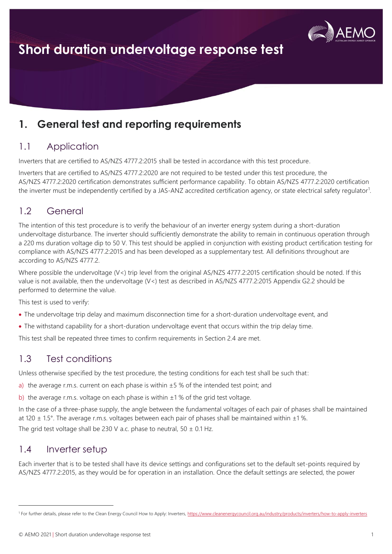

### **1. General test and reporting requirements**

### 1.1 Application

Inverters that are certified to AS/NZS 4777.2:2015 shall be tested in accordance with this test procedure.

Inverters that are certified to AS/NZS 4777.2:2020 are not required to be tested under this test procedure, the AS/NZS 4777.2:2020 certification demonstrates sufficient performance capability. To obtain AS/NZS 4777.2:2020 certification the inverter must be independently certified by a JAS-ANZ accredited certification agency, or state electrical safety regulator<sup>1</sup>.

### 1.2 General

The intention of this test procedure is to verify the behaviour of an inverter energy system during a short-duration undervoltage disturbance. The inverter should sufficiently demonstrate the ability to remain in continuous operation through a 220 ms duration voltage dip to 50 V. This test should be applied in conjunction with existing product certification testing for compliance with AS/NZS 4777.2:2015 and has been developed as a supplementary test. All definitions throughout are according to AS/NZS 4777.2.

Where possible the undervoltage (V<) trip level from the original AS/NZS 4777.2:2015 certification should be noted. If this value is not available, then the undervoltage (V<) test as described in AS/NZS 4777.2:2015 Appendix G2.2 should be performed to determine the value.

This test is used to verify:

- The undervoltage trip delay and maximum disconnection time for a short-duration undervoltage event, and
- The withstand capability for a short-duration undervoltage event that occurs within the trip delay time.

This test shall be repeated three times to confirm requirements in Section 2.4 are met.

### 1.3 Test conditions

Unless otherwise specified by the test procedure, the testing conditions for each test shall be such that:

a) the average r.m.s. current on each phase is within  $\pm 5$  % of the intended test point; and

b) the average r.m.s. voltage on each phase is within  $\pm 1$  % of the grid test voltage.

In the case of a three-phase supply, the angle between the fundamental voltages of each pair of phases shall be maintained at 120 ± 1.5°. The average r.m.s. voltages between each pair of phases shall be maintained within ±1 %. The grid test voltage shall be 230 V a.c. phase to neutral, 50  $\pm$  0.1 Hz.

#### 1.4 Inverter setup

Each inverter that is to be tested shall have its device settings and configurations set to the default set-points required by AS/NZS 4777.2:2015, as they would be for operation in an installation. Once the default settings are selected, the power

<sup>&</sup>lt;sup>1</sup> For further details, please refer to the Clean Energy Council How to Apply: Inverters,<https://www.cleanenergycouncil.org.au/industry/products/inverters/how-to-apply-inverters>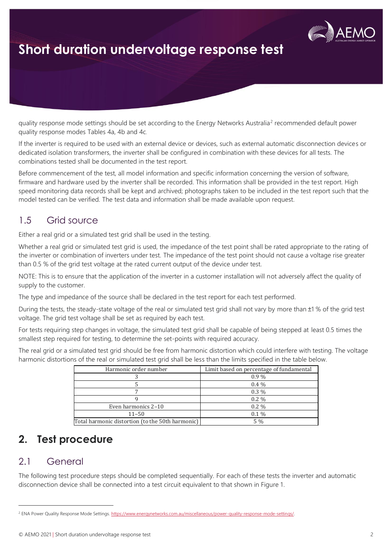

quality response mode settings should be set according to the Energy Networks Australia<sup>2</sup> recommended default power quality response modes Tables 4a, 4b and 4c.

If the inverter is required to be used with an external device or devices, such as external automatic disconnection devices or dedicated isolation transformers, the inverter shall be configured in combination with these devices for all tests. The combinations tested shall be documented in the test report.

Before commencement of the test, all model information and specific information concerning the version of software, firmware and hardware used by the inverter shall be recorded. This information shall be provided in the test report. High speed monitoring data records shall be kept and archived; photographs taken to be included in the test report such that the model tested can be verified. The test data and information shall be made available upon request.

### 1.5 Grid source

Either a real grid or a simulated test grid shall be used in the testing.

Whether a real grid or simulated test grid is used, the impedance of the test point shall be rated appropriate to the rating of the inverter or combination of inverters under test. The impedance of the test point should not cause a voltage rise greater than 0.5 % of the grid test voltage at the rated current output of the device under test.

NOTE: This is to ensure that the application of the inverter in a customer installation will not adversely affect the quality of supply to the customer.

The type and impedance of the source shall be declared in the test report for each test performed.

During the tests, the steady-state voltage of the real or simulated test grid shall not vary by more than ±1 % of the grid test voltage. The grid test voltage shall be set as required by each test.

For tests requiring step changes in voltage, the simulated test grid shall be capable of being stepped at least 0.5 times the smallest step required for testing, to determine the set-points with required accuracy.

The real grid or a simulated test grid should be free from harmonic distortion which could interfere with testing. The voltage harmonic distortions of the real or simulated test grid shall be less than the limits specified in the table below.

| Harmonic order number                            | Limit based on percentage of fundamental |
|--------------------------------------------------|------------------------------------------|
|                                                  | $0.9\%$                                  |
|                                                  | $0.4\%$                                  |
|                                                  | $0.3\%$                                  |
|                                                  | $0.2\%$                                  |
| Even harmonics 2-10                              | $0.2\%$                                  |
| $11 - 50$                                        | $0.1\%$                                  |
| Total harmonic distortion (to the 50th harmonic) | $5\%$                                    |

### **2. Test procedure**

### 2.1 General

The following test procedure steps should be completed sequentially. For each of these tests the inverter and automatic disconnection device shall be connected into a test circuit equivalent to that shown in Figure 1.

<sup>&</sup>lt;sup>2</sup> ENA Power Quality Response Mode Settings[. https://www.energynetworks.com.au/miscellaneous/power-quality-response-mode-settings/.](https://www.energynetworks.com.au/miscellaneous/power-quality-response-mode-settings/)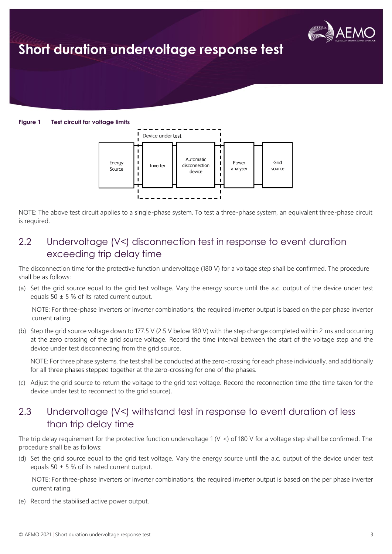

**Figure 1 Test circuit for voltage limits**



NOTE: The above test circuit applies to a single-phase system. To test a three-phase system, an equivalent three-phase circuit is required.

### 2.2 Undervoltage (V<) disconnection test in response to event duration exceeding trip delay time

The disconnection time for the protective function undervoltage (180 V) for a voltage step shall be confirmed. The procedure shall be as follows:

(a) Set the grid source equal to the grid test voltage. Vary the energy source until the a.c. output of the device under test equals 50  $\pm$  5 % of its rated current output.

NOTE: For three-phase inverters or inverter combinations, the required inverter output is based on the per phase inverter current rating.

(b) Step the grid source voltage down to 177.5 V (2.5 V below 180 V) with the step change completed within 2 ms and occurring at the zero crossing of the grid source voltage. Record the time interval between the start of the voltage step and the device under test disconnecting from the grid source.

NOTE: For three phase systems, the test shall be conducted at the zero-crossing for each phase individually, and additionally for all three phases stepped together at the zero-crossing for one of the phases.

(c) Adjust the grid source to return the voltage to the grid test voltage. Record the reconnection time (the time taken for the device under test to reconnect to the grid source).

### 2.3 Undervoltage (V<) withstand test in response to event duration of less than trip delay time

The trip delay requirement for the protective function undervoltage 1 (V <) of 180 V for a voltage step shall be confirmed. The procedure shall be as follows:

(d) Set the grid source equal to the grid test voltage. Vary the energy source until the a.c. output of the device under test equals 50  $\pm$  5 % of its rated current output.

NOTE: For three-phase inverters or inverter combinations, the required inverter output is based on the per phase inverter current rating.

(e) Record the stabilised active power output.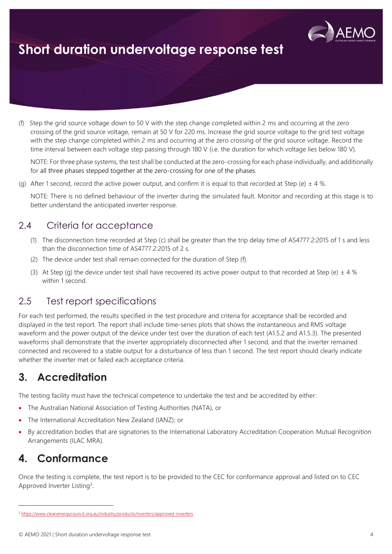

(f) Step the grid source voltage down to 50 V with the step change completed within 2 ms and occurring at the zero crossing of the grid source voltage, remain at 50 V for 220 ms. Increase the grid source voltage to the grid test voltage with the step change completed within 2 ms and occurring at the zero crossing of the grid source voltage. Record the time interval between each voltage step passing through 180 V (i.e. the duration for which voltage lies below 180 V).

NOTE: For three phase systems, the test shall be conducted at the zero-crossing for each phase individually, and additionally for all three phases stepped together at the zero-crossing for one of the phases.

(g) After 1 second, record the active power output, and confirm it is equal to that recorded at Step (e)  $\pm$  4 %.

NOTE: There is no defined behaviour of the inverter during the simulated fault. Monitor and recording at this stage is to better understand the anticipated inverter response.

### 2.4 Criteria for acceptance

- (1) The disconnection time recorded at Step (c) shall be greater than the trip delay time of AS4777.2:2015 of 1 s and less than the disconnection time of AS4777.2:2015 of 2 s.
- (2) The device under test shall remain connected for the duration of Step (f).
- (3) At Step (g) the device under test shall have recovered its active power output to that recorded at Step (e)  $\pm$  4 % within 1 second.

#### 2.5 Test report specifications

For each test performed, the results specified in the test procedure and criteria for acceptance shall be recorded and displayed in the test report. The report shall include time-series plots that shows the instantaneous and RMS voltage waveform and the power output of the device under test over the duration of each test (A1.5.2 and A1.5.3). The presented waveforms shall demonstrate that the inverter appropriately disconnected after 1 second, and that the inverter remained connected and recovered to a stable output for a disturbance of less than 1 second. The test report should clearly indicate whether the inverter met or failed each acceptance criteria.

### **3. Accreditation**

The testing facility must have the technical competence to undertake the test and be accredited by either:

- The Australian National Association of Testing Authorities (NATA), or
- The International Accreditation New Zealand (IANZ); or
- By accreditation bodies that are signatories to the International Laboratory Accreditation Cooperation Mutual Recognition Arrangements (ILAC MRA).

### **4. Conformance**

Once the testing is complete, the test report is to be provided to the CEC for conformance approval and listed on to CEC Approved Inverter Listing<sup>3</sup>.

<sup>3</sup> <https://www.cleanenergycouncil.org.au/industry/products/inverters/approved-inverters>